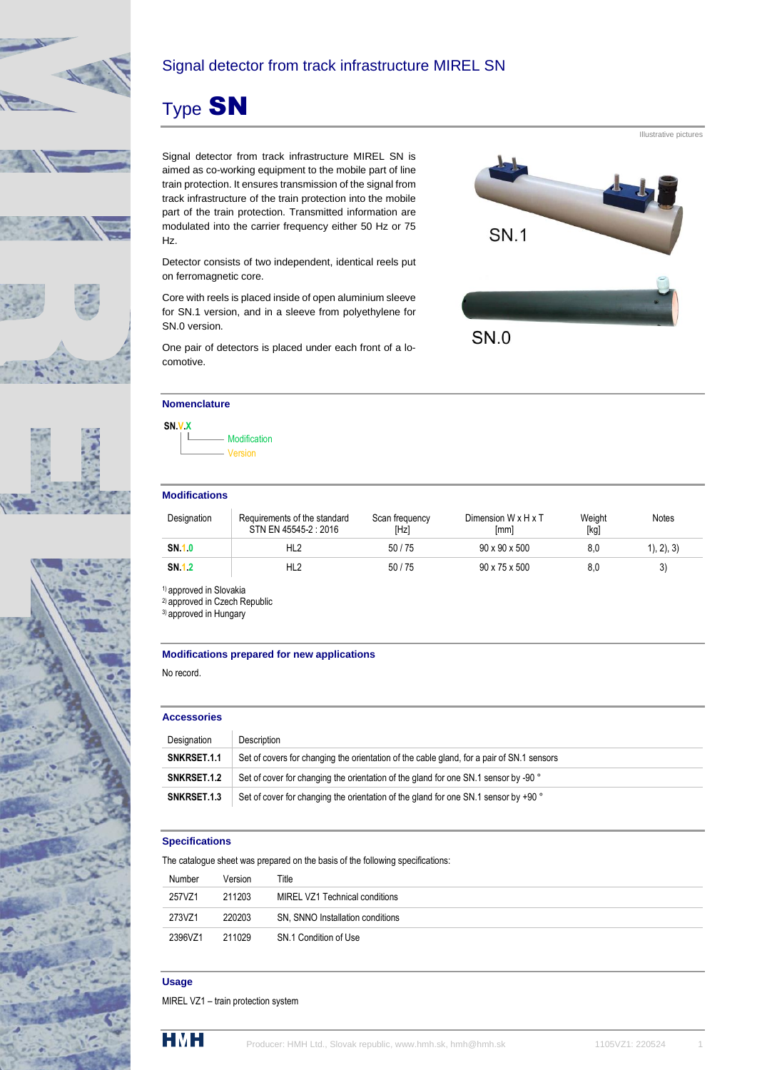





## Signal detector from track infrastructure MIREL SN

# Type SN

Signal detector from track infrastructure MIREL SN is aimed as co-working equipment to the mobile part of line train protection. It ensures transmission of the signal from track infrastructure of the train protection into the mobile part of the train protection. Transmitted information are modulated into the carrier frequency either 50 Hz or 75 Hz.

Detector consists of two independent, identical reels put on ferromagnetic core.

Core with reels is placed inside of open aluminium sleeve for SN.1 version, and in a sleeve from polyethylene for SN.0 version.

One pair of detectors is placed under each front of a locomotive.



#### **Nomenclature**

**SN.V.X Modification** Version

#### **Modifications**

| Designation  | Requirements of the standard<br>STN EN 45545-2: 2016 | Scan frequency<br><b>IHzl</b> | Dimension W x H x T<br>[mm] | Weight<br>[kg] | <b>Notes</b>  |
|--------------|------------------------------------------------------|-------------------------------|-----------------------------|----------------|---------------|
| <b>SN 10</b> | HL <sub>2</sub>                                      | 50/75                         | $90 \times 90 \times 500$   | 8.0            | (1), (2), (3) |
| <b>SN 12</b> | HL2                                                  | 50/75                         | $90 \times 75 \times 500$   | 8.0            |               |

<sup>1)</sup> approved in Slovakia

2) approved in Czech Republic

3) approved in Hungary

#### **Modifications prepared for new applications**

No record.

#### **Accessories**

| Designation | <b>Description</b>                                                                        |
|-------------|-------------------------------------------------------------------------------------------|
| SNKRSET.1.1 | Set of covers for changing the orientation of the cable gland, for a pair of SN.1 sensors |
| SNKRSET.1.2 | Set of cover for changing the orientation of the gland for one SN.1 sensor by -90 °       |
| SNKRSET.1.3 | Set of cover for changing the orientation of the gland for one SN.1 sensor by +90 °       |

#### **Specifications**

The catalogue sheet was prepared on the basis of the following specifications:

| Number  | Version | Title                            |
|---------|---------|----------------------------------|
| 257VZ1  | 211203  | MIREL VZ1 Technical conditions   |
| 273VZ1  | 220203  | SN, SNNO Installation conditions |
| 2396VZ1 | 211029  | SN.1 Condition of Use            |
|         |         |                                  |

#### **Usage**

MIREL VZ1 – train protection system